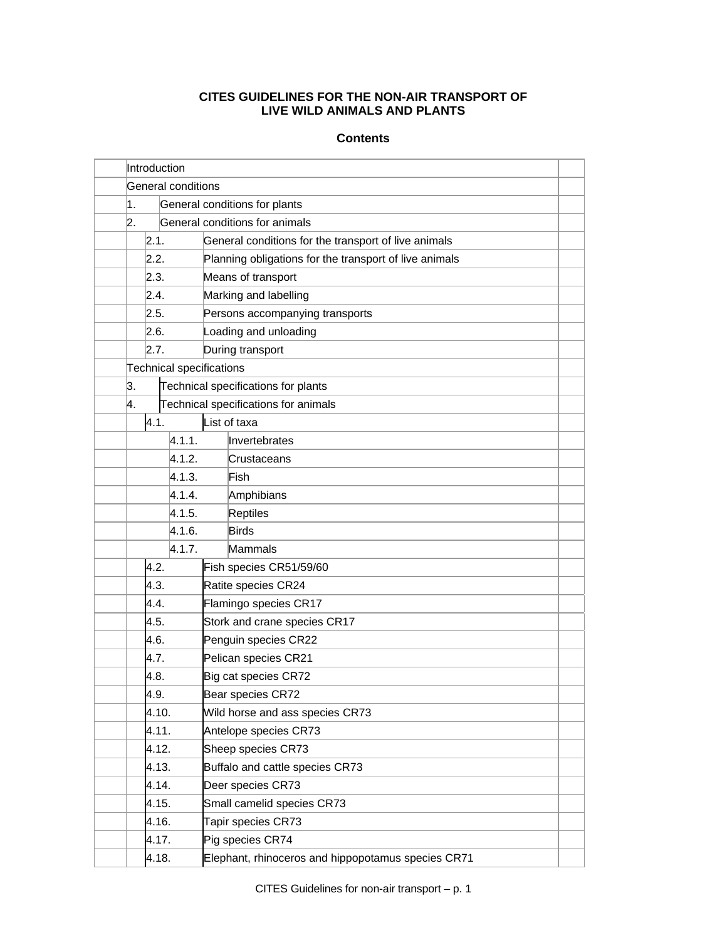# **CITES GUIDELINES FOR THE NON-AIR TRANSPORT OF LIVE WILD ANIMALS AND PLANTS**

# **Contents**

|  |        | Introduction       |                            |                                 |                                                        |  |  |  |  |  |
|--|--------|--------------------|----------------------------|---------------------------------|--------------------------------------------------------|--|--|--|--|--|
|  |        | General conditions |                            |                                 |                                                        |  |  |  |  |  |
|  | 1.     |                    |                            |                                 | General conditions for plants                          |  |  |  |  |  |
|  | 2.     |                    |                            | General conditions for animals  |                                                        |  |  |  |  |  |
|  |        | 2.1.               |                            |                                 | General conditions for the transport of live animals   |  |  |  |  |  |
|  |        | 2.2.               |                            |                                 | Planning obligations for the transport of live animals |  |  |  |  |  |
|  |        | 2.3.               |                            |                                 | Means of transport                                     |  |  |  |  |  |
|  |        | 2.4.               |                            |                                 | Marking and labelling                                  |  |  |  |  |  |
|  |        | 2.5.               |                            | Persons accompanying transports |                                                        |  |  |  |  |  |
|  |        | 2.6.               |                            |                                 | Loading and unloading                                  |  |  |  |  |  |
|  |        | 2.7.               |                            | During transport                |                                                        |  |  |  |  |  |
|  |        |                    |                            |                                 | <b>Technical specifications</b>                        |  |  |  |  |  |
|  | 3.     |                    |                            |                                 | Technical specifications for plants                    |  |  |  |  |  |
|  | 4.     |                    |                            |                                 | Technical specifications for animals                   |  |  |  |  |  |
|  | 4.1.   |                    |                            | List of taxa                    |                                                        |  |  |  |  |  |
|  |        |                    | 4.1.1.                     |                                 | Invertebrates                                          |  |  |  |  |  |
|  |        |                    | 4.1.2.                     |                                 | Crustaceans                                            |  |  |  |  |  |
|  |        |                    | 4.1.3.<br>4.1.4.<br>4.1.5. |                                 | Fish                                                   |  |  |  |  |  |
|  |        |                    |                            |                                 | Amphibians                                             |  |  |  |  |  |
|  |        |                    |                            |                                 | Reptiles                                               |  |  |  |  |  |
|  | 4.1.6. |                    |                            |                                 | <b>Birds</b>                                           |  |  |  |  |  |
|  |        | 4.1.7.             |                            |                                 | Mammals                                                |  |  |  |  |  |
|  |        | 4.2.               |                            | Fish species CR51/59/60         |                                                        |  |  |  |  |  |
|  |        | 4.3.               |                            | Ratite species CR24             |                                                        |  |  |  |  |  |
|  |        | 4.4.               |                            |                                 | Flamingo species CR17                                  |  |  |  |  |  |
|  |        | 4.5.               |                            | Stork and crane species CR17    |                                                        |  |  |  |  |  |
|  | 4.6.   |                    | Penguin species CR22       |                                 |                                                        |  |  |  |  |  |
|  | 4.7.   |                    | Pelican species CR21       |                                 |                                                        |  |  |  |  |  |
|  | 4.8.   |                    | Big cat species CR72       |                                 |                                                        |  |  |  |  |  |
|  |        | 4.9.               |                            | Bear species CR72               |                                                        |  |  |  |  |  |
|  |        | 4.10.              |                            | Wild horse and ass species CR73 |                                                        |  |  |  |  |  |
|  |        | 4.11.              |                            | Antelope species CR73           |                                                        |  |  |  |  |  |
|  |        | 4.12.              |                            | Sheep species CR73              |                                                        |  |  |  |  |  |
|  |        | 4.13.              |                            | Buffalo and cattle species CR73 |                                                        |  |  |  |  |  |
|  |        | 4.14.              |                            | Deer species CR73               |                                                        |  |  |  |  |  |
|  |        | 4.15.              |                            | Small camelid species CR73      |                                                        |  |  |  |  |  |
|  |        | 4.16.              |                            | Tapir species CR73              |                                                        |  |  |  |  |  |
|  |        | 4.17.              |                            |                                 | Pig species CR74                                       |  |  |  |  |  |
|  |        | 4.18.              |                            |                                 | Elephant, rhinoceros and hippopotamus species CR71     |  |  |  |  |  |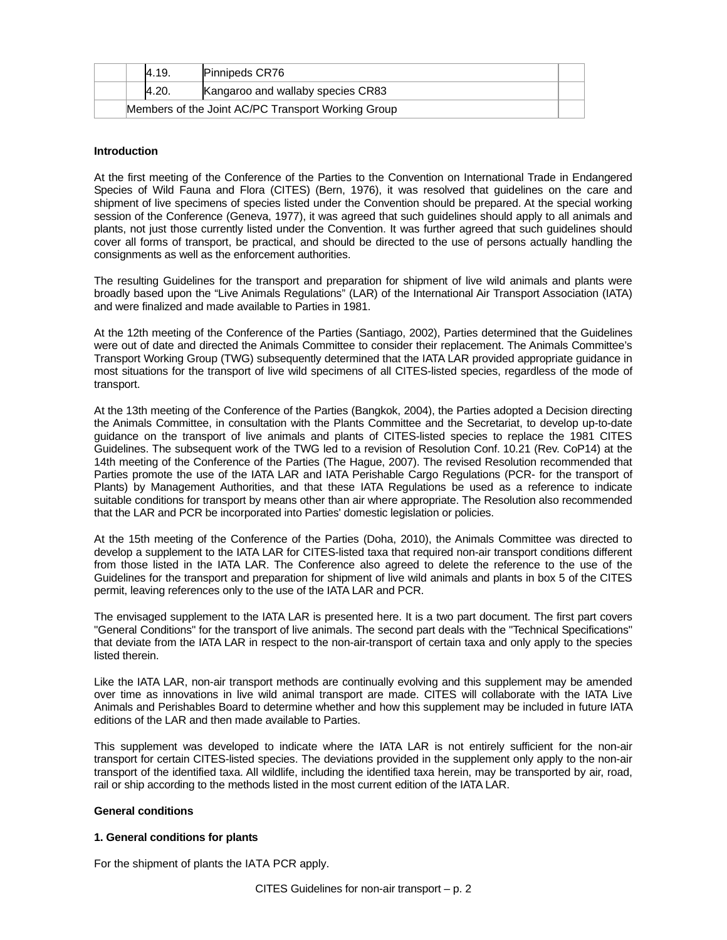|                                                    | 4.19.        | <b>Pinnipeds CR76</b>             |  |  |  |  |  |
|----------------------------------------------------|--------------|-----------------------------------|--|--|--|--|--|
|                                                    | <b>4.20.</b> | Kangaroo and wallaby species CR83 |  |  |  |  |  |
| Members of the Joint AC/PC Transport Working Group |              |                                   |  |  |  |  |  |

# **Introduction**

At the first meeting of the Conference of the Parties to the Convention on International Trade in Endangered Species of Wild Fauna and Flora (CITES) (Bern, 1976), it was resolved that guidelines on the care and shipment of live specimens of species listed under the Convention should be prepared. At the special working session of the Conference (Geneva, 1977), it was agreed that such guidelines should apply to all animals and plants, not just those currently listed under the Convention. It was further agreed that such guidelines should cover all forms of transport, be practical, and should be directed to the use of persons actually handling the consignments as well as the enforcement authorities.

The resulting Guidelines for the transport and preparation for shipment of live wild animals and plants were broadly based upon the "Live Animals Regulations" (LAR) of the International Air Transport Association (IATA) and were finalized and made available to Parties in 1981.

At the 12th meeting of the Conference of the Parties (Santiago, 2002), Parties determined that the Guidelines were out of date and directed the Animals Committee to consider their replacement. The Animals Committee's Transport Working Group (TWG) subsequently determined that the IATA LAR provided appropriate guidance in most situations for the transport of live wild specimens of all CITES-listed species, regardless of the mode of transport.

At the 13th meeting of the Conference of the Parties (Bangkok, 2004), the Parties adopted a Decision directing the Animals Committee, in consultation with the Plants Committee and the Secretariat, to develop up-to-date guidance on the transport of live animals and plants of CITES-listed species to replace the 1981 CITES Guidelines. The subsequent work of the TWG led to a revision of Resolution Conf. 10.21 (Rev. CoP14) at the 14th meeting of the Conference of the Parties (The Hague, 2007). The revised Resolution recommended that Parties promote the use of the IATA LAR and IATA Perishable Cargo Regulations (PCR- for the transport of Plants) by Management Authorities, and that these IATA Regulations be used as a reference to indicate suitable conditions for transport by means other than air where appropriate. The Resolution also recommended that the LAR and PCR be incorporated into Parties' domestic legislation or policies.

At the 15th meeting of the Conference of the Parties (Doha, 2010), the Animals Committee was directed to develop a supplement to the IATA LAR for CITES-listed taxa that required non-air transport conditions different from those listed in the IATA LAR. The Conference also agreed to delete the reference to the use of the Guidelines for the transport and preparation for shipment of live wild animals and plants in box 5 of the CITES permit, leaving references only to the use of the IATA LAR and PCR.

The envisaged supplement to the IATA LAR is presented here. It is a two part document. The first part covers "General Conditions" for the transport of live animals. The second part deals with the "Technical Specifications" that deviate from the IATA LAR in respect to the non-air-transport of certain taxa and only apply to the species listed therein.

Like the IATA LAR, non-air transport methods are continually evolving and this supplement may be amended over time as innovations in live wild animal transport are made. CITES will collaborate with the IATA Live Animals and Perishables Board to determine whether and how this supplement may be included in future IATA editions of the LAR and then made available to Parties.

This supplement was developed to indicate where the IATA LAR is not entirely sufficient for the non-air transport for certain CITES-listed species. The deviations provided in the supplement only apply to the non-air transport of the identified taxa. All wildlife, including the identified taxa herein, may be transported by air, road, rail or ship according to the methods listed in the most current edition of the IATA LAR.

# **General conditions**

# **1. General conditions for plants**

For the shipment of plants the IATA PCR apply.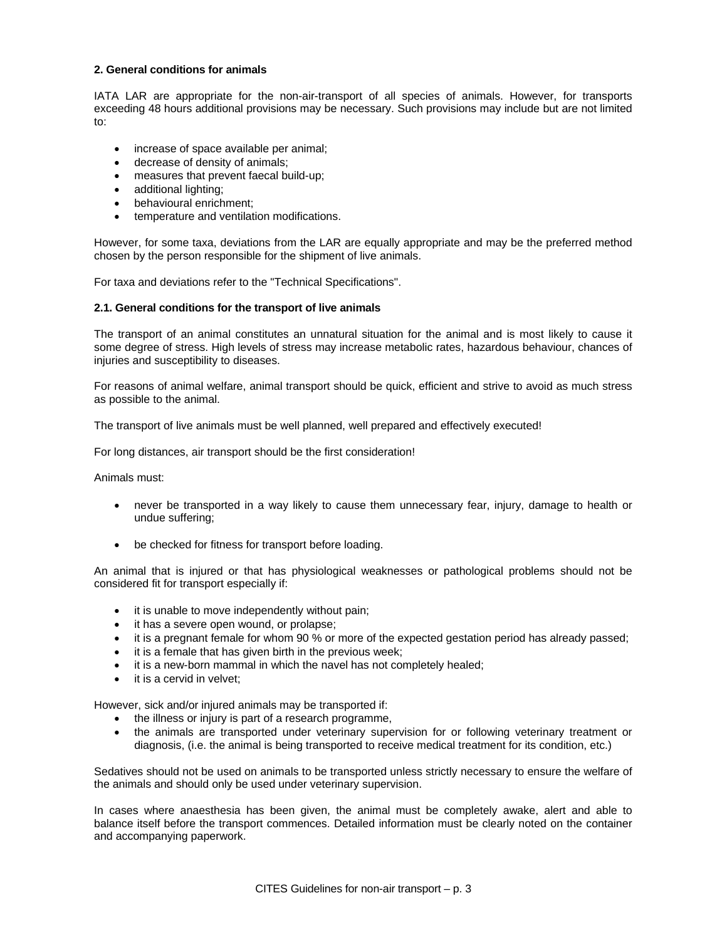# **2. General conditions for animals**

IATA LAR are appropriate for the non-air-transport of all species of animals. However, for transports exceeding 48 hours additional provisions may be necessary. Such provisions may include but are not limited to:

- increase of space available per animal;
- decrease of density of animals;
- measures that prevent faecal build-up;
- additional lighting;
- behavioural enrichment;
- temperature and ventilation modifications.

However, for some taxa, deviations from the LAR are equally appropriate and may be the preferred method chosen by the person responsible for the shipment of live animals.

For taxa and deviations refer to the "Technical Specifications".

### **2.1. General conditions for the transport of live animals**

The transport of an animal constitutes an unnatural situation for the animal and is most likely to cause it some degree of stress. High levels of stress may increase metabolic rates, hazardous behaviour, chances of injuries and susceptibility to diseases.

For reasons of animal welfare, animal transport should be quick, efficient and strive to avoid as much stress as possible to the animal.

The transport of live animals must be well planned, well prepared and effectively executed!

For long distances, air transport should be the first consideration!

Animals must:

- never be transported in a way likely to cause them unnecessary fear, injury, damage to health or undue suffering;
- be checked for fitness for transport before loading.

An animal that is injured or that has physiological weaknesses or pathological problems should not be considered fit for transport especially if:

- it is unable to move independently without pain;
- it has a severe open wound, or prolapse;
- it is a pregnant female for whom 90 % or more of the expected gestation period has already passed;
- it is a female that has given birth in the previous week;
- it is a new-born mammal in which the navel has not completely healed;
- it is a cervid in velvet;

However, sick and/or injured animals may be transported if:

- the illness or injury is part of a research programme,
- the animals are transported under veterinary supervision for or following veterinary treatment or diagnosis, (i.e. the animal is being transported to receive medical treatment for its condition, etc.)

Sedatives should not be used on animals to be transported unless strictly necessary to ensure the welfare of the animals and should only be used under veterinary supervision.

In cases where anaesthesia has been given, the animal must be completely awake, alert and able to balance itself before the transport commences. Detailed information must be clearly noted on the container and accompanying paperwork.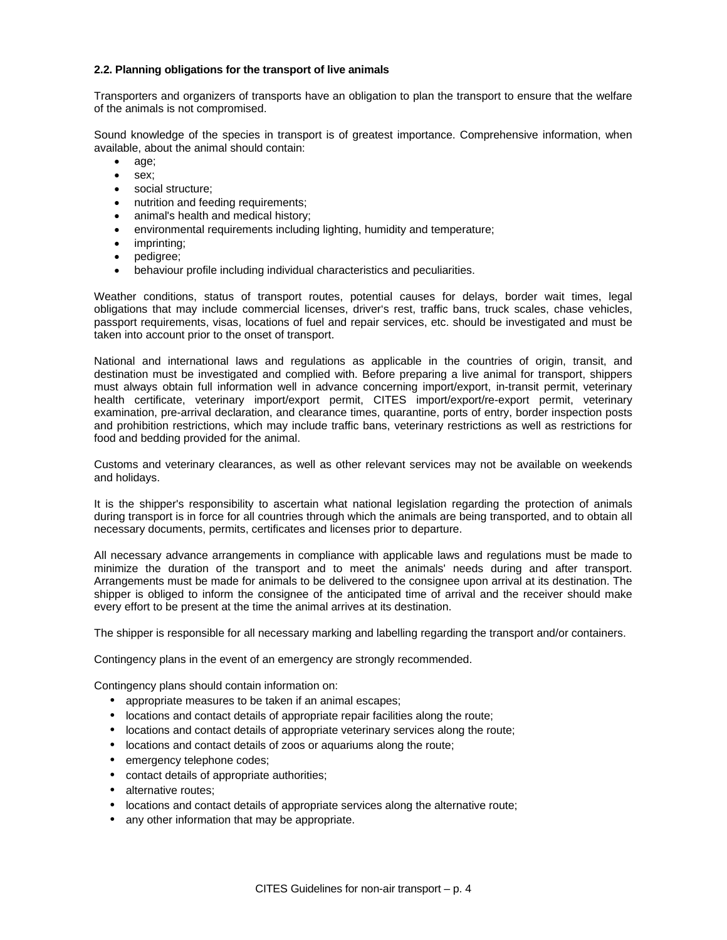# **2.2. Planning obligations for the transport of live animals**

Transporters and organizers of transports have an obligation to plan the transport to ensure that the welfare of the animals is not compromised.

Sound knowledge of the species in transport is of greatest importance. Comprehensive information, when available, about the animal should contain:

- age;
- sex;
- social structure:
- nutrition and feeding requirements;
- animal's health and medical history;
- environmental requirements including lighting, humidity and temperature;
- imprinting;
- pedigree;
- behaviour profile including individual characteristics and peculiarities.

Weather conditions, status of transport routes, potential causes for delays, border wait times, legal obligations that may include commercial licenses, driver's rest, traffic bans, truck scales, chase vehicles, passport requirements, visas, locations of fuel and repair services, etc. should be investigated and must be taken into account prior to the onset of transport.

National and international laws and regulations as applicable in the countries of origin, transit, and destination must be investigated and complied with. Before preparing a live animal for transport, shippers must always obtain full information well in advance concerning import/export, in-transit permit, veterinary health certificate, veterinary import/export permit, CITES import/export/re-export permit, veterinary examination, pre-arrival declaration, and clearance times, quarantine, ports of entry, border inspection posts and prohibition restrictions, which may include traffic bans, veterinary restrictions as well as restrictions for food and bedding provided for the animal.

Customs and veterinary clearances, as well as other relevant services may not be available on weekends and holidays.

It is the shipper's responsibility to ascertain what national legislation regarding the protection of animals during transport is in force for all countries through which the animals are being transported, and to obtain all necessary documents, permits, certificates and licenses prior to departure.

All necessary advance arrangements in compliance with applicable laws and regulations must be made to minimize the duration of the transport and to meet the animals' needs during and after transport. Arrangements must be made for animals to be delivered to the consignee upon arrival at its destination. The shipper is obliged to inform the consignee of the anticipated time of arrival and the receiver should make every effort to be present at the time the animal arrives at its destination.

The shipper is responsible for all necessary marking and labelling regarding the transport and/or containers.

Contingency plans in the event of an emergency are strongly recommended.

Contingency plans should contain information on:

- appropriate measures to be taken if an animal escapes;
- locations and contact details of appropriate repair facilities along the route;
- locations and contact details of appropriate veterinary services along the route;
- locations and contact details of zoos or aquariums along the route;
- emergency telephone codes;
- contact details of appropriate authorities;
- alternative routes;
- locations and contact details of appropriate services along the alternative route;
- any other information that may be appropriate.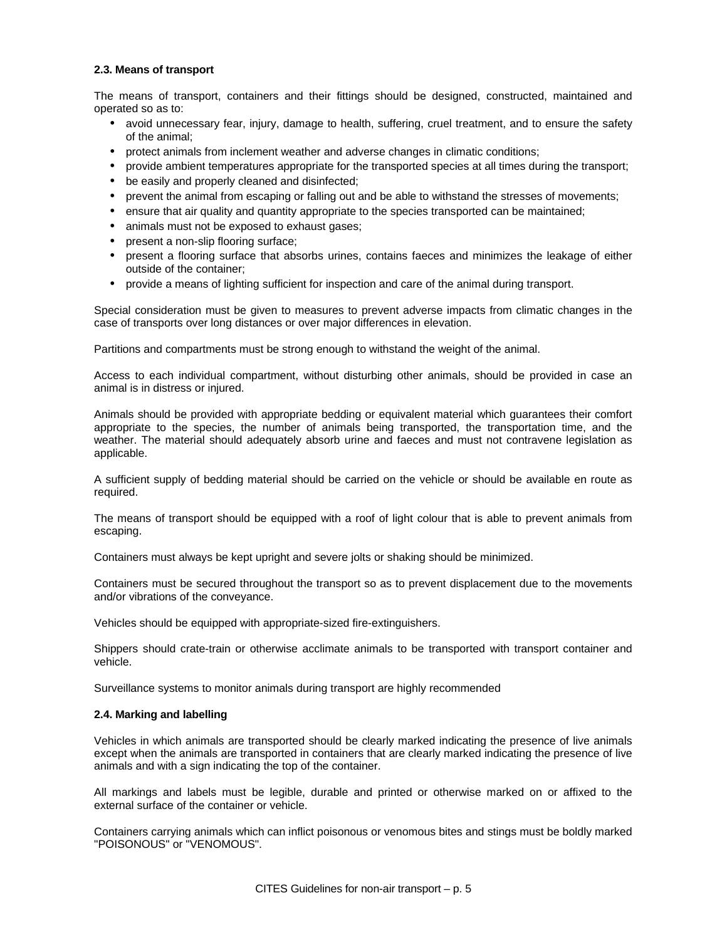### **2.3. Means of transport**

The means of transport, containers and their fittings should be designed, constructed, maintained and operated so as to:

- avoid unnecessary fear, injury, damage to health, suffering, cruel treatment, and to ensure the safety of the animal;
- protect animals from inclement weather and adverse changes in climatic conditions;
- provide ambient temperatures appropriate for the transported species at all times during the transport;
- be easily and properly cleaned and disinfected;
- prevent the animal from escaping or falling out and be able to withstand the stresses of movements;
- ensure that air quality and quantity appropriate to the species transported can be maintained;
- animals must not be exposed to exhaust gases;
- present a non-slip flooring surface;
- present a flooring surface that absorbs urines, contains faeces and minimizes the leakage of either outside of the container;
- provide a means of lighting sufficient for inspection and care of the animal during transport.

Special consideration must be given to measures to prevent adverse impacts from climatic changes in the case of transports over long distances or over major differences in elevation.

Partitions and compartments must be strong enough to withstand the weight of the animal.

Access to each individual compartment, without disturbing other animals, should be provided in case an animal is in distress or injured.

Animals should be provided with appropriate bedding or equivalent material which guarantees their comfort appropriate to the species, the number of animals being transported, the transportation time, and the weather. The material should adequately absorb urine and faeces and must not contravene legislation as applicable.

A sufficient supply of bedding material should be carried on the vehicle or should be available en route as required.

The means of transport should be equipped with a roof of light colour that is able to prevent animals from escaping.

Containers must always be kept upright and severe jolts or shaking should be minimized.

Containers must be secured throughout the transport so as to prevent displacement due to the movements and/or vibrations of the conveyance.

Vehicles should be equipped with appropriate-sized fire-extinguishers.

Shippers should crate-train or otherwise acclimate animals to be transported with transport container and vehicle.

Surveillance systems to monitor animals during transport are highly recommended

#### **2.4. Marking and labelling**

Vehicles in which animals are transported should be clearly marked indicating the presence of live animals except when the animals are transported in containers that are clearly marked indicating the presence of live animals and with a sign indicating the top of the container.

All markings and labels must be legible, durable and printed or otherwise marked on or affixed to the external surface of the container or vehicle.

Containers carrying animals which can inflict poisonous or venomous bites and stings must be boldly marked "POISONOUS" or "VENOMOUS".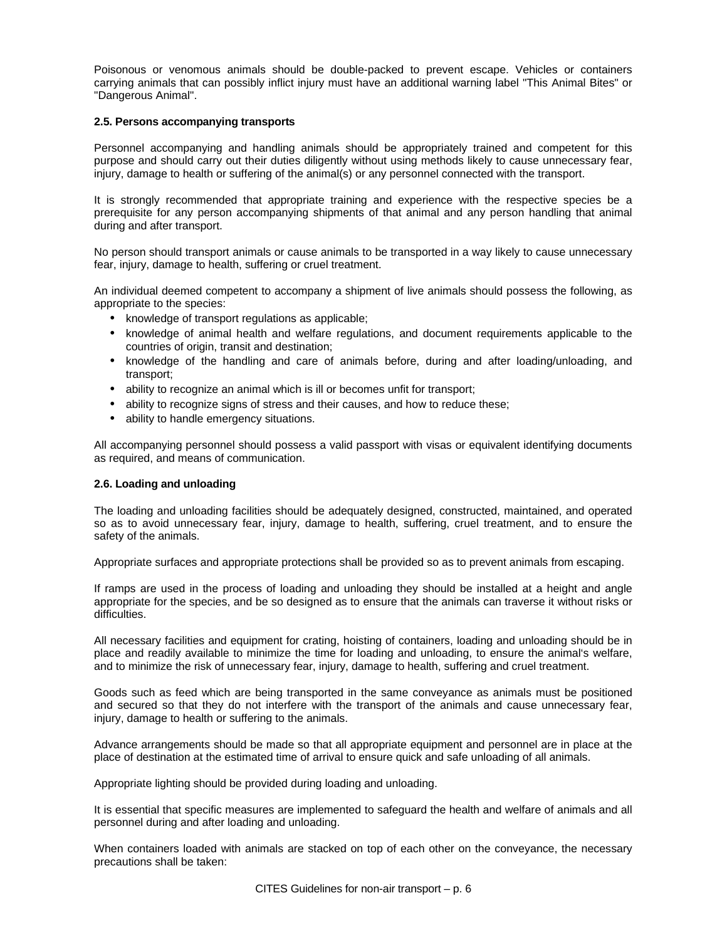Poisonous or venomous animals should be double-packed to prevent escape. Vehicles or containers carrying animals that can possibly inflict injury must have an additional warning label "This Animal Bites" or "Dangerous Animal".

# **2.5. Persons accompanying transports**

Personnel accompanying and handling animals should be appropriately trained and competent for this purpose and should carry out their duties diligently without using methods likely to cause unnecessary fear, injury, damage to health or suffering of the animal(s) or any personnel connected with the transport.

It is strongly recommended that appropriate training and experience with the respective species be a prerequisite for any person accompanying shipments of that animal and any person handling that animal during and after transport.

No person should transport animals or cause animals to be transported in a way likely to cause unnecessary fear, injury, damage to health, suffering or cruel treatment.

An individual deemed competent to accompany a shipment of live animals should possess the following, as appropriate to the species:

- knowledge of transport regulations as applicable;
- knowledge of animal health and welfare regulations, and document requirements applicable to the countries of origin, transit and destination;
- knowledge of the handling and care of animals before, during and after loading/unloading, and transport;
- ability to recognize an animal which is ill or becomes unfit for transport;
- ability to recognize signs of stress and their causes, and how to reduce these;
- ability to handle emergency situations.

All accompanying personnel should possess a valid passport with visas or equivalent identifying documents as required, and means of communication.

# **2.6. Loading and unloading**

The loading and unloading facilities should be adequately designed, constructed, maintained, and operated so as to avoid unnecessary fear, injury, damage to health, suffering, cruel treatment, and to ensure the safety of the animals.

Appropriate surfaces and appropriate protections shall be provided so as to prevent animals from escaping.

If ramps are used in the process of loading and unloading they should be installed at a height and angle appropriate for the species, and be so designed as to ensure that the animals can traverse it without risks or difficulties.

All necessary facilities and equipment for crating, hoisting of containers, loading and unloading should be in place and readily available to minimize the time for loading and unloading, to ensure the animal's welfare, and to minimize the risk of unnecessary fear, injury, damage to health, suffering and cruel treatment.

Goods such as feed which are being transported in the same conveyance as animals must be positioned and secured so that they do not interfere with the transport of the animals and cause unnecessary fear, injury, damage to health or suffering to the animals.

Advance arrangements should be made so that all appropriate equipment and personnel are in place at the place of destination at the estimated time of arrival to ensure quick and safe unloading of all animals.

Appropriate lighting should be provided during loading and unloading.

It is essential that specific measures are implemented to safeguard the health and welfare of animals and all personnel during and after loading and unloading.

When containers loaded with animals are stacked on top of each other on the conveyance, the necessary precautions shall be taken: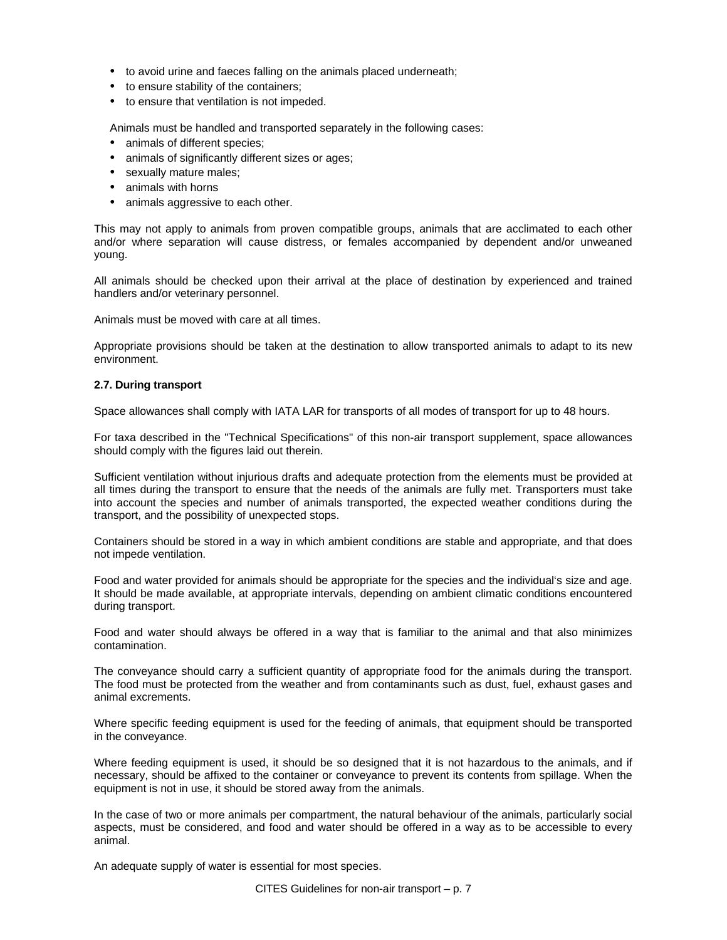- to avoid urine and faeces falling on the animals placed underneath;
- to ensure stability of the containers;
- to ensure that ventilation is not impeded.

Animals must be handled and transported separately in the following cases:

- animals of different species;
- animals of significantly different sizes or ages;
- sexually mature males:
- animals with horns
- animals aggressive to each other.

This may not apply to animals from proven compatible groups, animals that are acclimated to each other and/or where separation will cause distress, or females accompanied by dependent and/or unweaned young.

All animals should be checked upon their arrival at the place of destination by experienced and trained handlers and/or veterinary personnel.

Animals must be moved with care at all times.

Appropriate provisions should be taken at the destination to allow transported animals to adapt to its new environment.

# **2.7. During transport**

Space allowances shall comply with IATA LAR for transports of all modes of transport for up to 48 hours.

For taxa described in the "Technical Specifications" of this non-air transport supplement, space allowances should comply with the figures laid out therein.

Sufficient ventilation without injurious drafts and adequate protection from the elements must be provided at all times during the transport to ensure that the needs of the animals are fully met. Transporters must take into account the species and number of animals transported, the expected weather conditions during the transport, and the possibility of unexpected stops.

Containers should be stored in a way in which ambient conditions are stable and appropriate, and that does not impede ventilation.

Food and water provided for animals should be appropriate for the species and the individual's size and age. It should be made available, at appropriate intervals, depending on ambient climatic conditions encountered during transport.

Food and water should always be offered in a way that is familiar to the animal and that also minimizes contamination.

The conveyance should carry a sufficient quantity of appropriate food for the animals during the transport. The food must be protected from the weather and from contaminants such as dust, fuel, exhaust gases and animal excrements.

Where specific feeding equipment is used for the feeding of animals, that equipment should be transported in the conveyance.

Where feeding equipment is used, it should be so designed that it is not hazardous to the animals, and if necessary, should be affixed to the container or conveyance to prevent its contents from spillage. When the equipment is not in use, it should be stored away from the animals.

In the case of two or more animals per compartment, the natural behaviour of the animals, particularly social aspects, must be considered, and food and water should be offered in a way as to be accessible to every animal.

An adequate supply of water is essential for most species.

CITES Guidelines for non-air transport – p. 7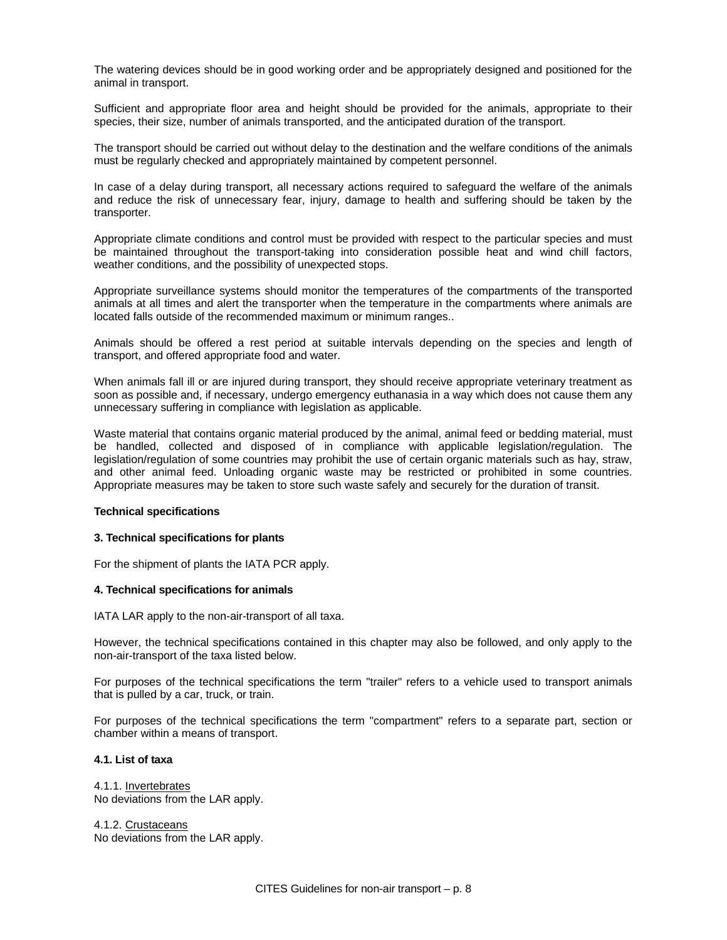The watering devices should be in good working order and be appropriately designed and positioned for the animal in transport.

Sufficient and appropriate floor area and height should be provided for the animals, appropriate to their species, their size, number of animals transported, and the anticipated duration of the transport.

The transport should be carried out without delay to the destination and the welfare conditions of the animals must be regularly checked and appropriately maintained by competent personnel.

In case of a delay during transport, all necessary actions required to safeguard the welfare of the animals and reduce the risk of unnecessary fear, injury, damage to health and suffering should be taken by the transporter.

Appropriate climate conditions and control must be provided with respect to the particular species and must be maintained throughout the transport-taking into consideration possible heat and wind chill factors, weather conditions, and the possibility of unexpected stops.

Appropriate surveillance systems should monitor the temperatures of the compartments of the transported animals at all times and alert the transporter when the temperature in the compartments where animals are located falls outside of the recommended maximum or minimum ranges..

Animals should be offered a rest period at suitable intervals depending on the species and length of transport, and offered appropriate food and water.

When animals fall ill or are injured during transport, they should receive appropriate veterinary treatment as soon as possible and, if necessary, undergo emergency euthanasia in a way which does not cause them any unnecessary suffering in compliance with legislation as applicable.

Waste material that contains organic material produced by the animal, animal feed or bedding material, must be handled, collected and disposed of in compliance with applicable legislation/regulation. The legislation/regulation of some countries may prohibit the use of certain organic materials such as hay, straw, and other animal feed. Unloading organic waste may be restricted or prohibited in some countries. Appropriate measures may be taken to store such waste safely and securely for the duration of transit.

#### **Technical specifications**

# **3. Technical specifications for plants**

For the shipment of plants the IATA PCR apply.

#### **4. Technical specifications for animals**

IATA LAR apply to the non-air-transport of all taxa.

However, the technical specifications contained in this chapter may also be followed, and only apply to the non-air-transport of the taxa listed below.

For purposes of the technical specifications the term "trailer" refers to a vehicle used to transport animals that is pulled by a car, truck, or train.

For purposes of the technical specifications the term "compartment" refers to a separate part, section or chamber within a means of transport.

# **4.1. List of taxa**

4.1.1. Invertebrates No deviations from the LAR apply.

4.1.2. Crustaceans No deviations from the LAR apply.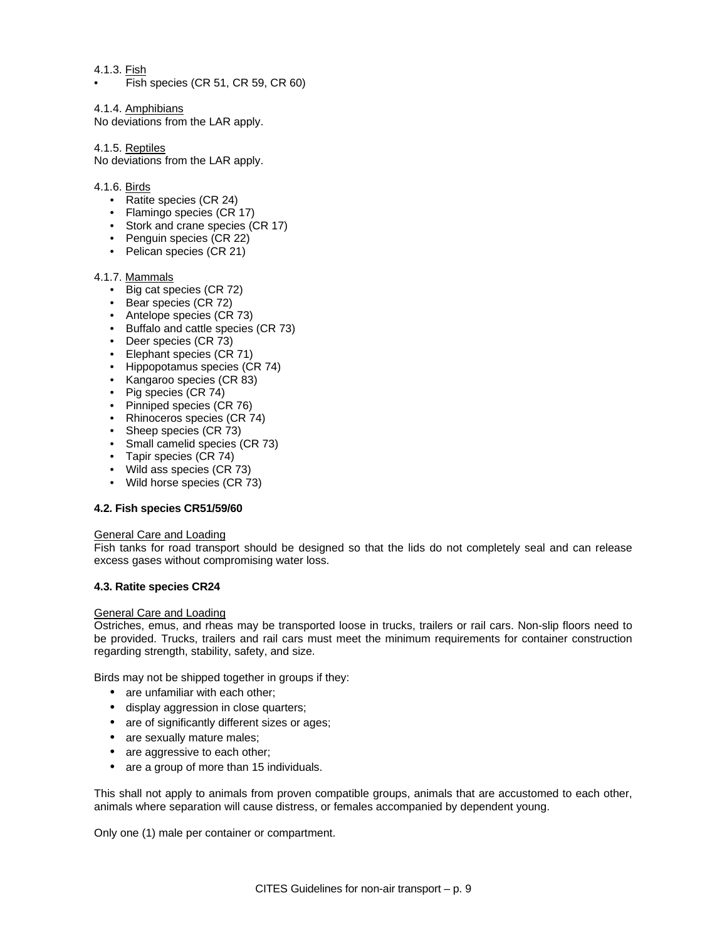# 4.1.3. Fish

• Fish species (CR 51, CR 59, CR 60)

# 4.1.4. Amphibians

No deviations from the LAR apply.

# 4.1.5. Reptiles

No deviations from the LAR apply.

# 4.1.6. Birds

- Ratite species (CR 24)
- Flamingo species (CR 17)
- Stork and crane species (CR 17)
- Penguin species (CR 22)
- Pelican species (CR 21)

# 4.1.7. Mammals

- Big cat species (CR 72)
- Bear species (CR 72)
- Antelope species (CR 73)
- Buffalo and cattle species (CR 73)
- Deer species (CR 73)
- Elephant species (CR 71)
- Hippopotamus species (CR 74)
- Kangaroo species (CR 83)
- Pig species (CR 74)
- Pinniped species (CR 76)
- Rhinoceros species (CR 74)
- Sheep species (CR 73)
- Small camelid species (CR 73)
- Tapir species (CR 74)
- Wild ass species (CR 73)
- Wild horse species (CR 73)

# **4.2. Fish species CR51/59/60**

# General Care and Loading

Fish tanks for road transport should be designed so that the lids do not completely seal and can release excess gases without compromising water loss.

# **4.3. Ratite species CR24**

# General Care and Loading

Ostriches, emus, and rheas may be transported loose in trucks, trailers or rail cars. Non-slip floors need to be provided. Trucks, trailers and rail cars must meet the minimum requirements for container construction regarding strength, stability, safety, and size.

Birds may not be shipped together in groups if they:

- are unfamiliar with each other;
- display aggression in close quarters;
- are of significantly different sizes or ages;
- are sexually mature males;
- are aggressive to each other;
- are a group of more than 15 individuals.

This shall not apply to animals from proven compatible groups, animals that are accustomed to each other, animals where separation will cause distress, or females accompanied by dependent young.

Only one (1) male per container or compartment.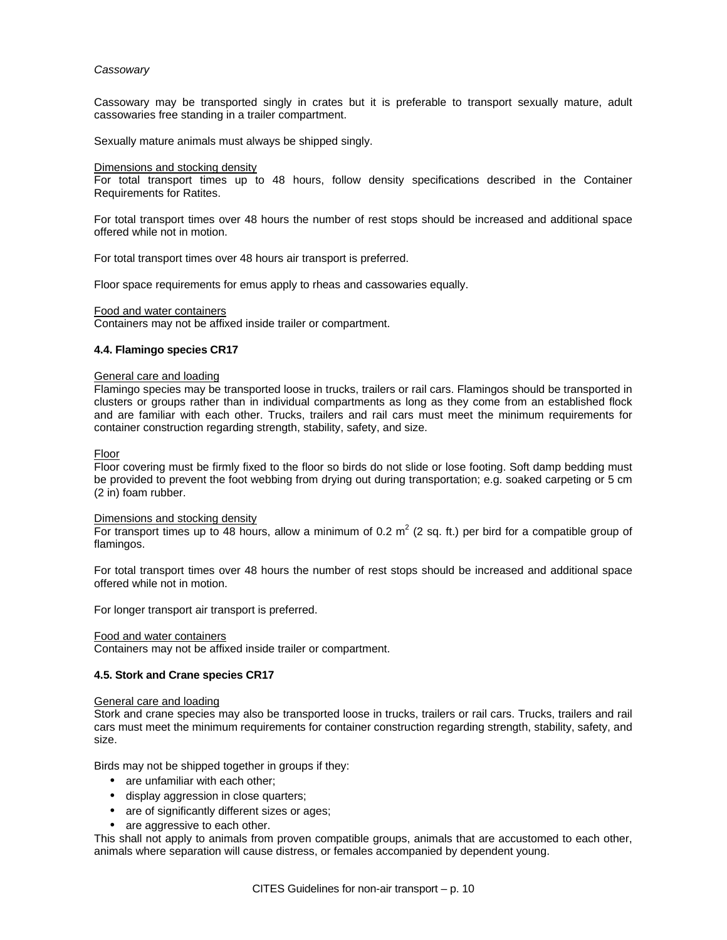## *Cassowary*

Cassowary may be transported singly in crates but it is preferable to transport sexually mature, adult cassowaries free standing in a trailer compartment.

Sexually mature animals must always be shipped singly.

#### Dimensions and stocking density

For total transport times up to 48 hours, follow density specifications described in the Container Requirements for Ratites.

For total transport times over 48 hours the number of rest stops should be increased and additional space offered while not in motion.

For total transport times over 48 hours air transport is preferred.

Floor space requirements for emus apply to rheas and cassowaries equally.

#### Food and water containers

Containers may not be affixed inside trailer or compartment.

### **4.4. Flamingo species CR17**

#### General care and loading

Flamingo species may be transported loose in trucks, trailers or rail cars. Flamingos should be transported in clusters or groups rather than in individual compartments as long as they come from an established flock and are familiar with each other. Trucks, trailers and rail cars must meet the minimum requirements for container construction regarding strength, stability, safety, and size.

#### Floor

Floor covering must be firmly fixed to the floor so birds do not slide or lose footing. Soft damp bedding must be provided to prevent the foot webbing from drying out during transportation; e.g. soaked carpeting or 5 cm (2 in) foam rubber.

#### Dimensions and stocking density

For transport times up to 48 hours, allow a minimum of 0.2  $m^2$  (2 sq. ft.) per bird for a compatible group of flamingos.

For total transport times over 48 hours the number of rest stops should be increased and additional space offered while not in motion.

For longer transport air transport is preferred.

#### Food and water containers

Containers may not be affixed inside trailer or compartment.

#### **4.5. Stork and Crane species CR17**

#### General care and loading

Stork and crane species may also be transported loose in trucks, trailers or rail cars. Trucks, trailers and rail cars must meet the minimum requirements for container construction regarding strength, stability, safety, and size.

Birds may not be shipped together in groups if they:

- are unfamiliar with each other;
- display aggression in close quarters;
- are of significantly different sizes or ages;
- are aggressive to each other.

This shall not apply to animals from proven compatible groups, animals that are accustomed to each other, animals where separation will cause distress, or females accompanied by dependent young.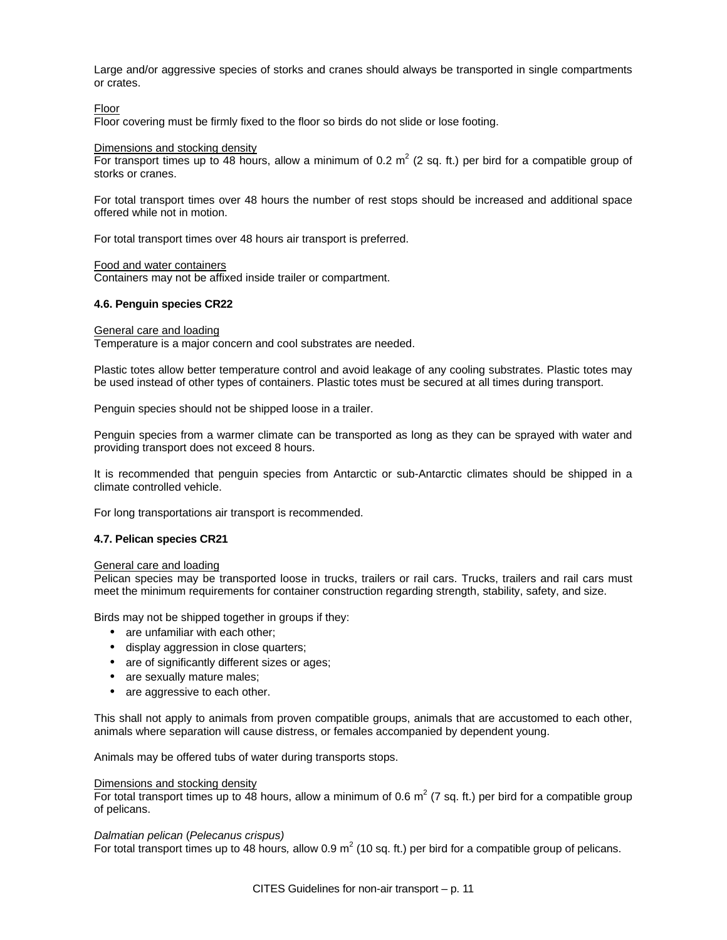Large and/or aggressive species of storks and cranes should always be transported in single compartments or crates.

### Floor

Floor covering must be firmly fixed to the floor so birds do not slide or lose footing.

#### Dimensions and stocking density

For transport times up to 48 hours, allow a minimum of 0.2  $m^2$  (2 sq. ft.) per bird for a compatible group of storks or cranes.

For total transport times over 48 hours the number of rest stops should be increased and additional space offered while not in motion.

For total transport times over 48 hours air transport is preferred.

#### Food and water containers

Containers may not be affixed inside trailer or compartment.

### **4.6. Penguin species CR22**

# General care and loading

Temperature is a major concern and cool substrates are needed.

Plastic totes allow better temperature control and avoid leakage of any cooling substrates. Plastic totes may be used instead of other types of containers. Plastic totes must be secured at all times during transport.

Penguin species should not be shipped loose in a trailer.

Penguin species from a warmer climate can be transported as long as they can be sprayed with water and providing transport does not exceed 8 hours.

It is recommended that penguin species from Antarctic or sub-Antarctic climates should be shipped in a climate controlled vehicle.

For long transportations air transport is recommended.

# **4.7. Pelican species CR21**

#### General care and loading

Pelican species may be transported loose in trucks, trailers or rail cars. Trucks, trailers and rail cars must meet the minimum requirements for container construction regarding strength, stability, safety, and size.

Birds may not be shipped together in groups if they:

- are unfamiliar with each other;
- display aggression in close quarters;
- are of significantly different sizes or ages;
- are sexually mature males;
- are aggressive to each other.

This shall not apply to animals from proven compatible groups, animals that are accustomed to each other, animals where separation will cause distress, or females accompanied by dependent young.

Animals may be offered tubs of water during transports stops.

### Dimensions and stocking density

For total transport times up to 48 hours, allow a minimum of 0.6  $m^2$  (7 sq. ft.) per bird for a compatible group of pelicans.

#### *Dalmatian pelican* (*Pelecanus crispus)*

For total transport times up to 48 hours, allow 0.9 m<sup>2</sup> (10 sq. ft.) per bird for a compatible group of pelicans.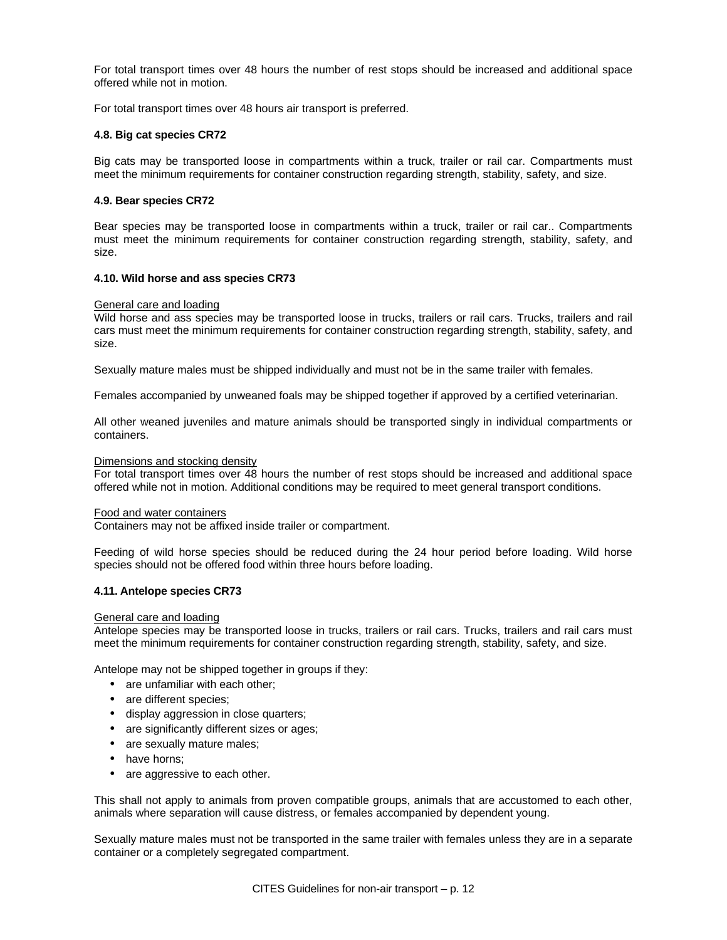For total transport times over 48 hours the number of rest stops should be increased and additional space offered while not in motion.

For total transport times over 48 hours air transport is preferred.

### **4.8. Big cat species CR72**

Big cats may be transported loose in compartments within a truck, trailer or rail car. Compartments must meet the minimum requirements for container construction regarding strength, stability, safety, and size.

### **4.9. Bear species CR72**

Bear species may be transported loose in compartments within a truck, trailer or rail car.. Compartments must meet the minimum requirements for container construction regarding strength, stability, safety, and size.

### **4.10. Wild horse and ass species CR73**

### General care and loading

Wild horse and ass species may be transported loose in trucks, trailers or rail cars. Trucks, trailers and rail cars must meet the minimum requirements for container construction regarding strength, stability, safety, and size.

Sexually mature males must be shipped individually and must not be in the same trailer with females.

Females accompanied by unweaned foals may be shipped together if approved by a certified veterinarian.

All other weaned juveniles and mature animals should be transported singly in individual compartments or containers.

### Dimensions and stocking density

For total transport times over 48 hours the number of rest stops should be increased and additional space offered while not in motion. Additional conditions may be required to meet general transport conditions.

#### Food and water containers

Containers may not be affixed inside trailer or compartment.

Feeding of wild horse species should be reduced during the 24 hour period before loading. Wild horse species should not be offered food within three hours before loading.

#### **4.11. Antelope species CR73**

#### General care and loading

Antelope species may be transported loose in trucks, trailers or rail cars. Trucks, trailers and rail cars must meet the minimum requirements for container construction regarding strength, stability, safety, and size.

Antelope may not be shipped together in groups if they:

- are unfamiliar with each other;
- are different species;
- display aggression in close quarters;
- are significantly different sizes or ages;
- are sexually mature males;
- have horns;
- are aggressive to each other.

This shall not apply to animals from proven compatible groups, animals that are accustomed to each other, animals where separation will cause distress, or females accompanied by dependent young.

Sexually mature males must not be transported in the same trailer with females unless they are in a separate container or a completely segregated compartment.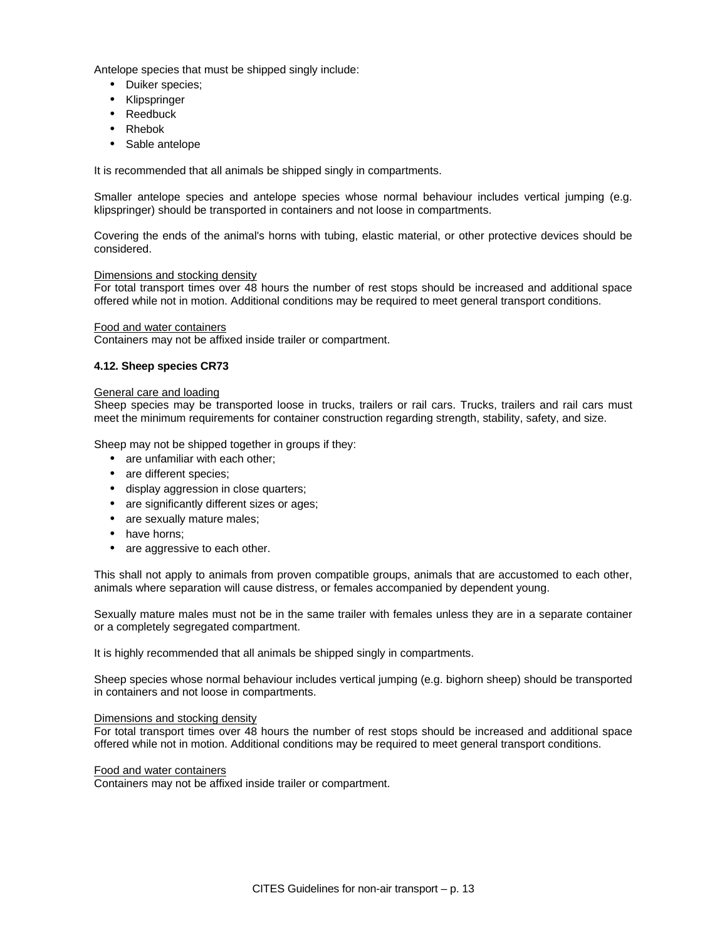Antelope species that must be shipped singly include:

- Duiker species;
- Klipspringer
- Reedbuck
- Rhebok
- Sable antelope

It is recommended that all animals be shipped singly in compartments.

Smaller antelope species and antelope species whose normal behaviour includes vertical jumping (e.g. klipspringer) should be transported in containers and not loose in compartments.

Covering the ends of the animal's horns with tubing, elastic material, or other protective devices should be considered.

# Dimensions and stocking density

For total transport times over 48 hours the number of rest stops should be increased and additional space offered while not in motion. Additional conditions may be required to meet general transport conditions.

# Food and water containers

Containers may not be affixed inside trailer or compartment.

# **4.12. Sheep species CR73**

# General care and loading

Sheep species may be transported loose in trucks, trailers or rail cars. Trucks, trailers and rail cars must meet the minimum requirements for container construction regarding strength, stability, safety, and size.

Sheep may not be shipped together in groups if they:

- are unfamiliar with each other:
- are different species;
- display aggression in close quarters;
- are significantly different sizes or ages;
- are sexually mature males;
- have horns:
- are aggressive to each other.

This shall not apply to animals from proven compatible groups, animals that are accustomed to each other, animals where separation will cause distress, or females accompanied by dependent young.

Sexually mature males must not be in the same trailer with females unless they are in a separate container or a completely segregated compartment.

It is highly recommended that all animals be shipped singly in compartments.

Sheep species whose normal behaviour includes vertical jumping (e.g. bighorn sheep) should be transported in containers and not loose in compartments.

#### Dimensions and stocking density

For total transport times over 48 hours the number of rest stops should be increased and additional space offered while not in motion. Additional conditions may be required to meet general transport conditions.

# Food and water containers

Containers may not be affixed inside trailer or compartment.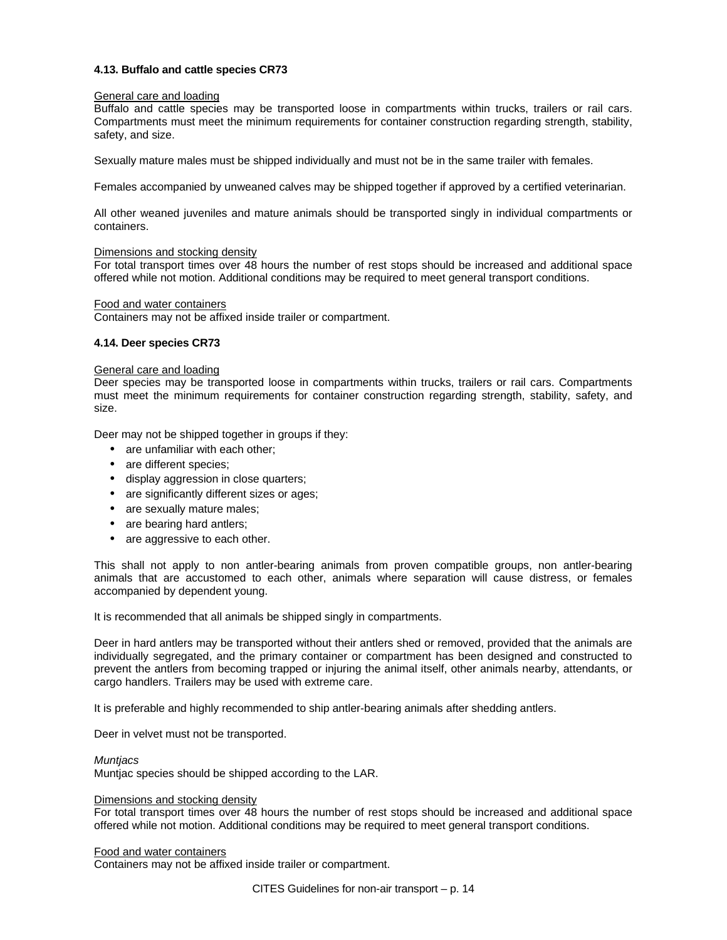# **4.13. Buffalo and cattle species CR73**

# General care and loading

Buffalo and cattle species may be transported loose in compartments within trucks, trailers or rail cars. Compartments must meet the minimum requirements for container construction regarding strength, stability, safety, and size.

Sexually mature males must be shipped individually and must not be in the same trailer with females.

Females accompanied by unweaned calves may be shipped together if approved by a certified veterinarian.

All other weaned juveniles and mature animals should be transported singly in individual compartments or containers.

# Dimensions and stocking density

For total transport times over 48 hours the number of rest stops should be increased and additional space offered while not motion. Additional conditions may be required to meet general transport conditions.

### Food and water containers

Containers may not be affixed inside trailer or compartment.

# **4.14. Deer species CR73**

### General care and loading

Deer species may be transported loose in compartments within trucks, trailers or rail cars. Compartments must meet the minimum requirements for container construction regarding strength, stability, safety, and size.

Deer may not be shipped together in groups if they:

- are unfamiliar with each other;
- are different species;
- display aggression in close quarters;
- are significantly different sizes or ages;
- are sexually mature males;
- are bearing hard antlers;
- are aggressive to each other.

This shall not apply to non antler-bearing animals from proven compatible groups, non antler-bearing animals that are accustomed to each other, animals where separation will cause distress, or females accompanied by dependent young.

It is recommended that all animals be shipped singly in compartments.

Deer in hard antlers may be transported without their antlers shed or removed, provided that the animals are individually segregated, and the primary container or compartment has been designed and constructed to prevent the antlers from becoming trapped or injuring the animal itself, other animals nearby, attendants, or cargo handlers. Trailers may be used with extreme care.

It is preferable and highly recommended to ship antler-bearing animals after shedding antlers.

Deer in velvet must not be transported.

#### *Muntjacs*

Muntjac species should be shipped according to the LAR.

### Dimensions and stocking density

For total transport times over 48 hours the number of rest stops should be increased and additional space offered while not motion. Additional conditions may be required to meet general transport conditions.

#### Food and water containers

Containers may not be affixed inside trailer or compartment.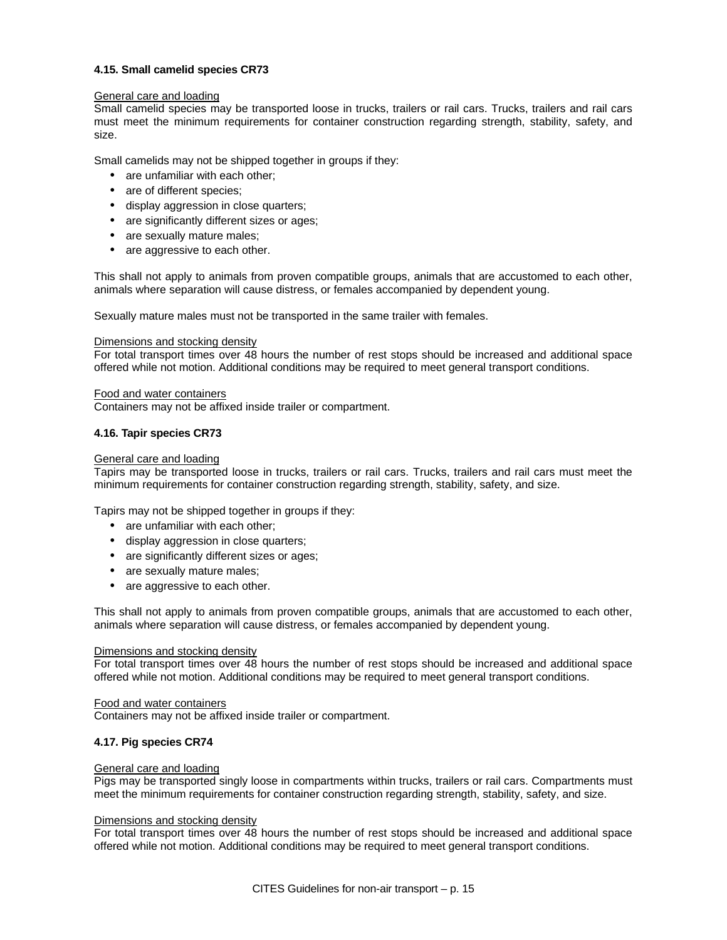# **4.15. Small camelid species CR73**

# General care and loading

Small camelid species may be transported loose in trucks, trailers or rail cars. Trucks, trailers and rail cars must meet the minimum requirements for container construction regarding strength, stability, safety, and size.

Small camelids may not be shipped together in groups if they:

- are unfamiliar with each other;
- are of different species;
- display aggression in close quarters;
- are significantly different sizes or ages;
- are sexually mature males;
- are aggressive to each other.

This shall not apply to animals from proven compatible groups, animals that are accustomed to each other, animals where separation will cause distress, or females accompanied by dependent young.

Sexually mature males must not be transported in the same trailer with females.

# Dimensions and stocking density

For total transport times over 48 hours the number of rest stops should be increased and additional space offered while not motion. Additional conditions may be required to meet general transport conditions.

# Food and water containers

Containers may not be affixed inside trailer or compartment.

# **4.16. Tapir species CR73**

# General care and loading

Tapirs may be transported loose in trucks, trailers or rail cars. Trucks, trailers and rail cars must meet the minimum requirements for container construction regarding strength, stability, safety, and size.

Tapirs may not be shipped together in groups if they:

- are unfamiliar with each other:
- display aggression in close quarters;
- are significantly different sizes or ages;
- are sexually mature males;
- are aggressive to each other.

This shall not apply to animals from proven compatible groups, animals that are accustomed to each other, animals where separation will cause distress, or females accompanied by dependent young.

# Dimensions and stocking density

For total transport times over 48 hours the number of rest stops should be increased and additional space offered while not motion. Additional conditions may be required to meet general transport conditions.

# Food and water containers

Containers may not be affixed inside trailer or compartment.

# **4.17. Pig species CR74**

# General care and loading

Pigs may be transported singly loose in compartments within trucks, trailers or rail cars. Compartments must meet the minimum requirements for container construction regarding strength, stability, safety, and size.

# Dimensions and stocking density

For total transport times over 48 hours the number of rest stops should be increased and additional space offered while not motion. Additional conditions may be required to meet general transport conditions.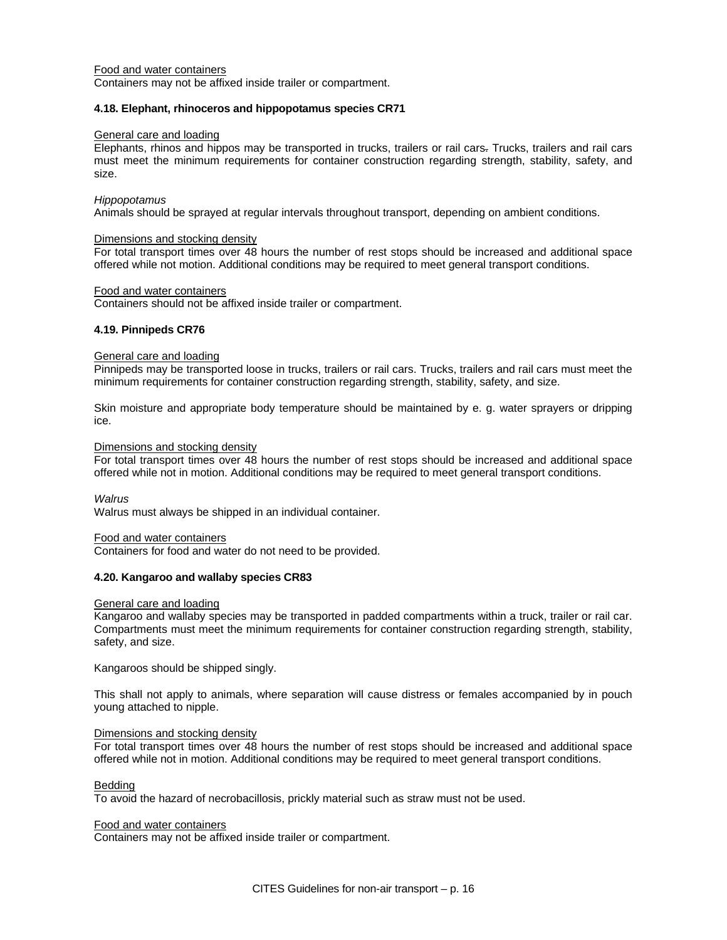### Food and water containers

Containers may not be affixed inside trailer or compartment.

#### **4.18. Elephant, rhinoceros and hippopotamus species CR71**

### General care and loading

Elephants, rhinos and hippos may be transported in trucks, trailers or rail cars. Trucks, trailers and rail cars must meet the minimum requirements for container construction regarding strength, stability, safety, and size.

#### *Hippopotamus*

Animals should be sprayed at regular intervals throughout transport, depending on ambient conditions.

#### Dimensions and stocking density

For total transport times over 48 hours the number of rest stops should be increased and additional space offered while not motion. Additional conditions may be required to meet general transport conditions.

### Food and water containers

Containers should not be affixed inside trailer or compartment.

# **4.19. Pinnipeds CR76**

#### General care and loading

Pinnipeds may be transported loose in trucks, trailers or rail cars. Trucks, trailers and rail cars must meet the minimum requirements for container construction regarding strength, stability, safety, and size.

Skin moisture and appropriate body temperature should be maintained by e. g. water sprayers or dripping ice.

### Dimensions and stocking density

For total transport times over 48 hours the number of rest stops should be increased and additional space offered while not in motion. Additional conditions may be required to meet general transport conditions.

*Walrus* 

Walrus must always be shipped in an individual container.

#### Food and water containers

Containers for food and water do not need to be provided.

# **4.20. Kangaroo and wallaby species CR83**

#### General care and loading

Kangaroo and wallaby species may be transported in padded compartments within a truck, trailer or rail car. Compartments must meet the minimum requirements for container construction regarding strength, stability, safety, and size.

Kangaroos should be shipped singly.

This shall not apply to animals, where separation will cause distress or females accompanied by in pouch young attached to nipple.

#### Dimensions and stocking density

For total transport times over 48 hours the number of rest stops should be increased and additional space offered while not in motion. Additional conditions may be required to meet general transport conditions.

#### Bedding

To avoid the hazard of necrobacillosis, prickly material such as straw must not be used.

#### Food and water containers

Containers may not be affixed inside trailer or compartment.